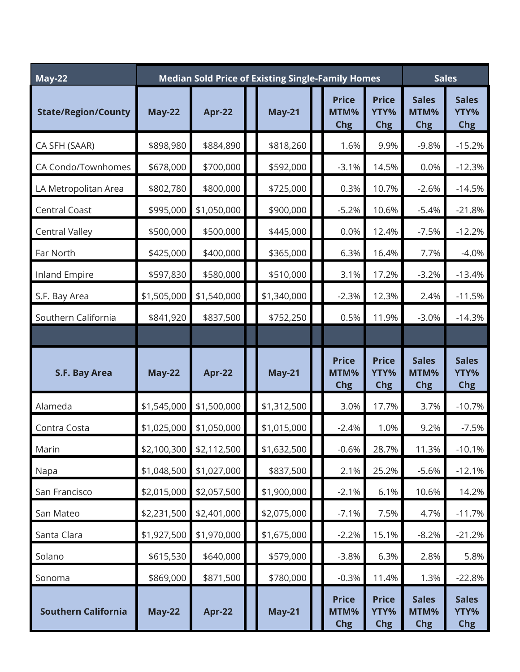| <b>May-22</b>              | <b>Median Sold Price of Existing Single-Family Homes</b> |               |  |               |  |                                    | <b>Sales</b>                       |                                    |                                    |
|----------------------------|----------------------------------------------------------|---------------|--|---------------|--|------------------------------------|------------------------------------|------------------------------------|------------------------------------|
| <b>State/Region/County</b> | <b>May-22</b>                                            | <b>Apr-22</b> |  | <b>May-21</b> |  | <b>Price</b><br>MTM%<br>Chg        | <b>Price</b><br>YTY%<br><b>Chg</b> | <b>Sales</b><br>MTM%<br>Chg        | <b>Sales</b><br>YTY%<br>Chg        |
| CA SFH (SAAR)              | \$898,980                                                | \$884,890     |  | \$818,260     |  | 1.6%                               | 9.9%                               | $-9.8%$                            | $-15.2%$                           |
| CA Condo/Townhomes         | \$678,000                                                | \$700,000     |  | \$592,000     |  | $-3.1%$                            | 14.5%                              | 0.0%                               | $-12.3%$                           |
| LA Metropolitan Area       | \$802,780                                                | \$800,000     |  | \$725,000     |  | 0.3%                               | 10.7%                              | $-2.6%$                            | $-14.5%$                           |
| <b>Central Coast</b>       | \$995,000                                                | \$1,050,000   |  | \$900,000     |  | $-5.2%$                            | 10.6%                              | $-5.4%$                            | $-21.8%$                           |
| <b>Central Valley</b>      | \$500,000                                                | \$500,000     |  | \$445,000     |  | 0.0%                               | 12.4%                              | $-7.5%$                            | $-12.2%$                           |
| Far North                  | \$425,000                                                | \$400,000     |  | \$365,000     |  | 6.3%                               | 16.4%                              | 7.7%                               | $-4.0%$                            |
| Inland Empire              | \$597,830                                                | \$580,000     |  | \$510,000     |  | 3.1%                               | 17.2%                              | $-3.2%$                            | $-13.4%$                           |
| S.F. Bay Area              | \$1,505,000                                              | \$1,540,000   |  | \$1,340,000   |  | $-2.3%$                            | 12.3%                              | 2.4%                               | $-11.5%$                           |
| Southern California        | \$841,920                                                | \$837,500     |  | \$752,250     |  | 0.5%                               | 11.9%                              | $-3.0%$                            | $-14.3%$                           |
|                            |                                                          |               |  |               |  |                                    |                                    |                                    |                                    |
| S.F. Bay Area              | <b>May-22</b>                                            | <b>Apr-22</b> |  | <b>May-21</b> |  | <b>Price</b><br>MTM%<br><b>Chg</b> | <b>Price</b><br>YTY%<br><b>Chg</b> | <b>Sales</b><br>MTM%<br><b>Chg</b> | <b>Sales</b><br>YTY%<br><b>Chg</b> |
| Alameda                    | \$1,545,000                                              | \$1,500,000   |  | \$1,312,500   |  | 3.0%                               | 17.7%                              | 3.7%                               | $-10.7%$                           |
| Contra Costa               | \$1,025,000                                              | \$1,050,000   |  | \$1,015,000   |  | $-2.4%$                            | 1.0%                               | 9.2%                               | $-7.5%$                            |
| Marin                      | \$2,100,300                                              | \$2,112,500   |  | \$1,632,500   |  | $-0.6%$                            | 28.7%                              | 11.3%                              | $-10.1%$                           |
| Napa                       | \$1,048,500                                              | \$1,027,000   |  | \$837,500     |  | 2.1%                               | 25.2%                              | $-5.6%$                            | $-12.1%$                           |
| San Francisco              | \$2,015,000                                              | \$2,057,500   |  | \$1,900,000   |  | $-2.1%$                            | 6.1%                               | 10.6%                              | 14.2%                              |
| San Mateo                  | \$2,231,500                                              | \$2,401,000   |  | \$2,075,000   |  | $-7.1%$                            | 7.5%                               | 4.7%                               | $-11.7%$                           |
| Santa Clara                | \$1,927,500                                              | \$1,970,000   |  | \$1,675,000   |  | $-2.2%$                            | 15.1%                              | $-8.2%$                            | $-21.2%$                           |
| Solano                     | \$615,530                                                | \$640,000     |  | \$579,000     |  | $-3.8%$                            | 6.3%                               | 2.8%                               | 5.8%                               |
| Sonoma                     | \$869,000                                                | \$871,500     |  | \$780,000     |  | $-0.3%$                            | 11.4%                              | 1.3%                               | $-22.8%$                           |
| <b>Southern California</b> | <b>May-22</b>                                            | <b>Apr-22</b> |  | <b>May-21</b> |  | <b>Price</b><br>MTM%<br><b>Chg</b> | <b>Price</b><br>YTY%<br><b>Chg</b> | <b>Sales</b><br>MTM%<br><b>Chg</b> | <b>Sales</b><br>YTY%<br>Chg        |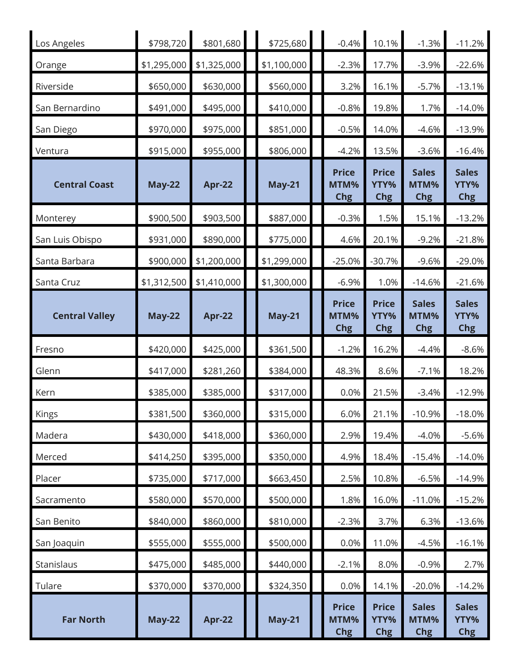| Los Angeles           | \$798,720     | \$801,680     | \$725,680     | $-0.4%$                            | 10.1%                              | $-1.3%$                            | $-11.2%$                           |
|-----------------------|---------------|---------------|---------------|------------------------------------|------------------------------------|------------------------------------|------------------------------------|
| Orange                | \$1,295,000   | \$1,325,000   | \$1,100,000   | $-2.3%$                            | 17.7%                              | $-3.9%$                            | $-22.6%$                           |
| Riverside             | \$650,000     | \$630,000     | \$560,000     | 3.2%                               | 16.1%                              | $-5.7%$                            | $-13.1%$                           |
| San Bernardino        | \$491,000     | \$495,000     | \$410,000     | $-0.8%$                            | 19.8%                              | 1.7%                               | $-14.0%$                           |
| San Diego             | \$970,000     | \$975,000     | \$851,000     | $-0.5%$                            | 14.0%                              | $-4.6%$                            | $-13.9%$                           |
| Ventura               | \$915,000     | \$955,000     | \$806,000     | $-4.2%$                            | 13.5%                              | $-3.6%$                            | $-16.4%$                           |
| <b>Central Coast</b>  | <b>May-22</b> | <b>Apr-22</b> | <b>May-21</b> | <b>Price</b><br>MTM%<br><b>Chg</b> | <b>Price</b><br>YTY%<br><b>Chg</b> | <b>Sales</b><br>MTM%<br><b>Chg</b> | <b>Sales</b><br>YTY%<br><b>Chg</b> |
| Monterey              | \$900,500     | \$903,500     | \$887,000     | $-0.3%$                            | 1.5%                               | 15.1%                              | $-13.2%$                           |
| San Luis Obispo       | \$931,000     | \$890,000     | \$775,000     | 4.6%                               | 20.1%                              | $-9.2%$                            | $-21.8%$                           |
| Santa Barbara         | \$900,000     | \$1,200,000   | \$1,299,000   | $-25.0%$                           | $-30.7%$                           | $-9.6%$                            | $-29.0%$                           |
| Santa Cruz            | \$1,312,500   | \$1,410,000   | \$1,300,000   | $-6.9%$                            | 1.0%                               | $-14.6%$                           | $-21.6%$                           |
| <b>Central Valley</b> | <b>May-22</b> | <b>Apr-22</b> | <b>May-21</b> | <b>Price</b><br>MTM%<br><b>Chg</b> | <b>Price</b><br>YTY%<br><b>Chg</b> | <b>Sales</b><br>MTM%<br><b>Chg</b> | <b>Sales</b><br>YTY%<br><b>Chg</b> |
| Fresno                | \$420,000     | \$425,000     | \$361,500     | $-1.2%$                            | 16.2%                              | $-4.4%$                            | $-8.6%$                            |
| Glenn                 | \$417,000     | \$281,260     | \$384,000     | 48.3%                              | 8.6%                               | $-7.1%$                            | 18.2%                              |
| Kern                  | \$385,000     | \$385,000     | \$317,000     | 0.0%                               | 21.5%                              | $-3.4%$                            | $-12.9%$                           |
| Kings                 | \$381,500     | \$360,000     | \$315,000     | 6.0%                               | 21.1%                              | $-10.9%$                           | $-18.0%$                           |
| Madera                | \$430,000     | \$418,000     | \$360,000     | 2.9%                               | 19.4%                              | $-4.0%$                            | $-5.6%$                            |
| Merced                | \$414,250     | \$395,000     | \$350,000     | 4.9%                               | 18.4%                              | $-15.4%$                           | $-14.0%$                           |
| Placer                | \$735,000     | \$717,000     | \$663,450     | 2.5%                               | 10.8%                              | $-6.5%$                            | $-14.9%$                           |
| Sacramento            | \$580,000     | \$570,000     | \$500,000     | 1.8%                               | 16.0%                              | $-11.0%$                           | $-15.2%$                           |
| San Benito            | \$840,000     | \$860,000     | \$810,000     | $-2.3%$                            | 3.7%                               | 6.3%                               | $-13.6%$                           |
| San Joaquin           | \$555,000     | \$555,000     | \$500,000     | 0.0%                               | 11.0%                              | $-4.5%$                            | $-16.1%$                           |
| Stanislaus            | \$475,000     | \$485,000     | \$440,000     | $-2.1%$                            | 8.0%                               | $-0.9%$                            | 2.7%                               |
| Tulare                | \$370,000     | \$370,000     | \$324,350     | 0.0%                               | 14.1%                              | $-20.0%$                           | $-14.2%$                           |
| <b>Far North</b>      |               |               |               | <b>Price</b><br>MTM%               | <b>Price</b>                       | <b>Sales</b>                       | <b>Sales</b>                       |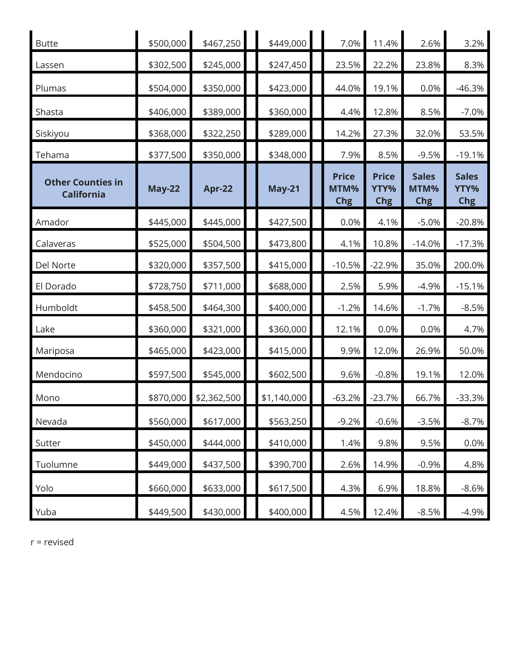| <b>Butte</b>                                  | \$500,000     | \$467,250     | \$449,000     | 7.0%                               | 11.4%                              | 2.6%                               | 3.2%                               |
|-----------------------------------------------|---------------|---------------|---------------|------------------------------------|------------------------------------|------------------------------------|------------------------------------|
| Lassen                                        | \$302,500     | \$245,000     | \$247,450     | 23.5%                              | 22.2%                              | 23.8%                              | 8.3%                               |
| Plumas                                        | \$504,000     | \$350,000     | \$423,000     | 44.0%                              | 19.1%                              | 0.0%                               | $-46.3%$                           |
| Shasta                                        | \$406,000     | \$389,000     | \$360,000     | 4.4%                               | 12.8%                              | 8.5%                               | $-7.0%$                            |
| Siskiyou                                      | \$368,000     | \$322,250     | \$289,000     | 14.2%                              | 27.3%                              | 32.0%                              | 53.5%                              |
| Tehama                                        | \$377,500     | \$350,000     | \$348,000     | 7.9%                               | 8.5%                               | $-9.5%$                            | $-19.1%$                           |
| <b>Other Counties in</b><br><b>California</b> | <b>May-22</b> | <b>Apr-22</b> | <b>May-21</b> | <b>Price</b><br>MTM%<br><b>Chg</b> | <b>Price</b><br>YTY%<br><b>Chg</b> | <b>Sales</b><br>MTM%<br><b>Chg</b> | <b>Sales</b><br>YTY%<br><b>Chg</b> |
| Amador                                        | \$445,000     | \$445,000     | \$427,500     | 0.0%                               | 4.1%                               | $-5.0%$                            | $-20.8%$                           |
| Calaveras                                     | \$525,000     | \$504,500     | \$473,800     | 4.1%                               | 10.8%                              | $-14.0%$                           | $-17.3%$                           |
| Del Norte                                     | \$320,000     | \$357,500     | \$415,000     | $-10.5%$                           | $-22.9%$                           | 35.0%                              | 200.0%                             |
| El Dorado                                     | \$728,750     | \$711,000     | \$688,000     | 2.5%                               | 5.9%                               | $-4.9%$                            | $-15.1%$                           |
| Humboldt                                      | \$458,500     | \$464,300     | \$400,000     | $-1.2%$                            | 14.6%                              | $-1.7%$                            | $-8.5%$                            |
| Lake                                          | \$360,000     | \$321,000     | \$360,000     | 12.1%                              | 0.0%                               | 0.0%                               | 4.7%                               |
| Mariposa                                      | \$465,000     | \$423,000     | \$415,000     | 9.9%                               | 12.0%                              | 26.9%                              | 50.0%                              |
| Mendocino                                     | \$597,500     | \$545,000     | \$602,500     | 9.6%                               | $-0.8%$                            | 19.1%                              | 12.0%                              |
| Mono                                          | \$870,000     | \$2,362,500   | \$1,140,000   | $-63.2%$                           | $-23.7%$                           | 66.7%                              | $-33.3%$                           |
| Nevada                                        | \$560,000     | \$617,000     | \$563,250     | $-9.2%$                            | $-0.6%$                            | $-3.5%$                            | $-8.7%$                            |
| Sutter                                        | \$450,000     | \$444,000     | \$410,000     | 1.4%                               | 9.8%                               | 9.5%                               | 0.0%                               |
| Tuolumne                                      | \$449,000     | \$437,500     | \$390,700     | 2.6%                               | 14.9%                              | $-0.9%$                            | 4.8%                               |
| Yolo                                          | \$660,000     | \$633,000     | \$617,500     | 4.3%                               | 6.9%                               | 18.8%                              | $-8.6%$                            |
| Yuba                                          | \$449,500     | \$430,000     | \$400,000     | 4.5%                               | 12.4%                              | $-8.5%$                            | $-4.9%$                            |

r = revised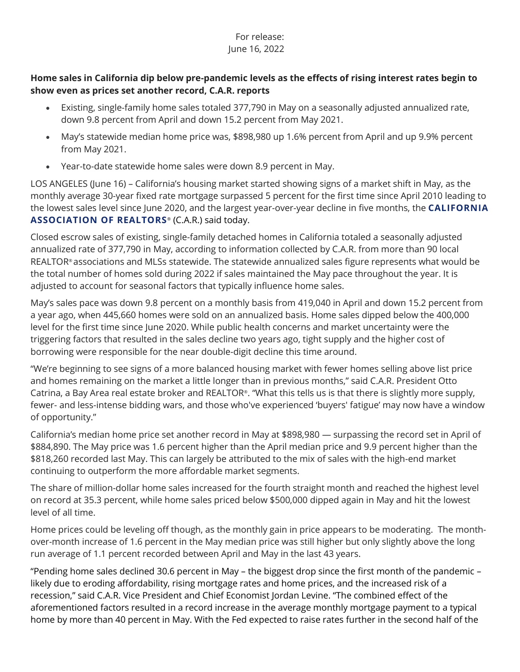## For release: June 16, 2022

## **Home sales in California dip below pre-pandemic levels as the effects of rising interest rates begin to show even as prices set another record, C.A.R. reports**

- Existing, single-family home sales totaled 377,790 in May on a seasonally adjusted annualized rate, down 9.8 percent from April and down 15.2 percent from May 2021.
- May's statewide median home price was, \$898,980 up 1.6% percent from April and up 9.9% percent from May 2021.
- Year-to-date statewide home sales were down 8.9 percent in May.

LOS ANGELES (June 16) – California's housing market started showing signs of a market shift in May, as the monthly average 30-year fixed rate mortgage surpassed 5 percent for the first time since April 2010 leading to the lowest sales level since June 2020, and the largest year-over-year decline in five months, the **[CALIFORNIA](http://www.car.org/)**  [ASSOCIATION OF REALTORS](http://www.car.org/)<sup>®</sup> (C.A.R.) said today.

Closed escrow sales of existing, single-family detached homes in California totaled a seasonally adjusted annualized rate of 377,790 in May, according to information collected by C.A.R. from more than 90 local REALTOR® associations and MLSs statewide. The statewide annualized sales figure represents what would be the total number of homes sold during 2022 if sales maintained the May pace throughout the year. It is adjusted to account for seasonal factors that typically influence home sales.

May's sales pace was down 9.8 percent on a monthly basis from 419,040 in April and down 15.2 percent from a year ago, when 445,660 homes were sold on an annualized basis. Home sales dipped below the 400,000 level for the first time since June 2020. While public health concerns and market uncertainty were the triggering factors that resulted in the sales decline two years ago, tight supply and the higher cost of borrowing were responsible for the near double-digit decline this time around.

"We're beginning to see signs of a more balanced housing market with fewer homes selling above list price and homes remaining on the market a little longer than in previous months," said C.A.R. President Otto Catrina, a Bay Area real estate broker and REALTOR®. "What this tells us is that there is slightly more supply, fewer- and less-intense bidding wars, and those who've experienced 'buyers' fatigue' may now have a window of opportunity."

California's median home price set another record in May at \$898,980 — surpassing the record set in April of \$884,890. The May price was 1.6 percent higher than the April median price and 9.9 percent higher than the \$818,260 recorded last May. This can largely be attributed to the mix of sales with the high-end market continuing to outperform the more affordable market segments.

The share of million-dollar home sales increased for the fourth straight month and reached the highest level on record at 35.3 percent, while home sales priced below \$500,000 dipped again in May and hit the lowest level of all time.

Home prices could be leveling off though, as the monthly gain in price appears to be moderating. The monthover-month increase of 1.6 percent in the May median price was still higher but only slightly above the long run average of 1.1 percent recorded between April and May in the last 43 years.

"Pending home sales declined 30.6 percent in May – the biggest drop since the first month of the pandemic – likely due to eroding affordability, rising mortgage rates and home prices, and the increased risk of a recession," said C.A.R. Vice President and Chief Economist Jordan Levine. "The combined effect of the aforementioned factors resulted in a record increase in the average monthly mortgage payment to a typical home by more than 40 percent in May. With the Fed expected to raise rates further in the second half of the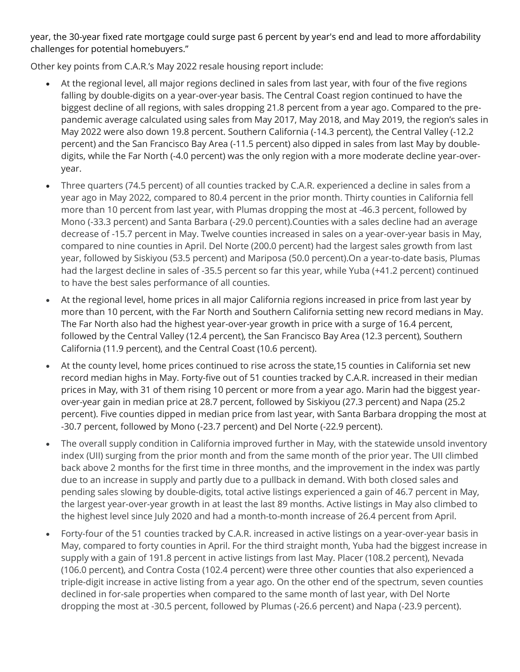year, the 30-year fixed rate mortgage could surge past 6 percent by year's end and lead to more affordability challenges for potential homebuyers."

Other key points from C.A.R.'s May 2022 resale housing report include:

- At the regional level, all major regions declined in sales from last year, with four of the five regions falling by double-digits on a year-over-year basis. The Central Coast region continued to have the biggest decline of all regions, with sales dropping 21.8 percent from a year ago. Compared to the prepandemic average calculated using sales from May 2017, May 2018, and May 2019, the region's sales in May 2022 were also down 19.8 percent. Southern California (-14.3 percent), the Central Valley (-12.2 percent) and the San Francisco Bay Area (-11.5 percent) also dipped in sales from last May by doubledigits, while the Far North (-4.0 percent) was the only region with a more moderate decline year-overyear.
- Three quarters (74.5 percent) of all counties tracked by C.A.R. experienced a decline in sales from a year ago in May 2022, compared to 80.4 percent in the prior month. Thirty counties in California fell more than 10 percent from last year, with Plumas dropping the most at -46.3 percent, followed by Mono (-33.3 percent) and Santa Barbara (-29.0 percent).Counties with a sales decline had an average decrease of -15.7 percent in May. Twelve counties increased in sales on a year-over-year basis in May, compared to nine counties in April. Del Norte (200.0 percent) had the largest sales growth from last year, followed by Siskiyou (53.5 percent) and Mariposa (50.0 percent).On a year-to-date basis, Plumas had the largest decline in sales of -35.5 percent so far this year, while Yuba (+41.2 percent) continued to have the best sales performance of all counties.
- At the regional level, home prices in all major California regions increased in price from last year by more than 10 percent, with the Far North and Southern California setting new record medians in May. The Far North also had the highest year-over-year growth in price with a surge of 16.4 percent, followed by the Central Valley (12.4 percent), the San Francisco Bay Area (12.3 percent), Southern California (11.9 percent), and the Central Coast (10.6 percent).
- At the county level, home prices continued to rise across the state,15 counties in California set new record median highs in May. Forty-five out of 51 counties tracked by C.A.R. increased in their median prices in May, with 31 of them rising 10 percent or more from a year ago. Marin had the biggest yearover-year gain in median price at 28.7 percent, followed by Siskiyou (27.3 percent) and Napa (25.2 percent). Five counties dipped in median price from last year, with Santa Barbara dropping the most at -30.7 percent, followed by Mono (-23.7 percent) and Del Norte (-22.9 percent).
- The overall supply condition in California improved further in May, with the statewide unsold inventory index (UII) surging from the prior month and from the same month of the prior year. The UII climbed back above 2 months for the first time in three months, and the improvement in the index was partly due to an increase in supply and partly due to a pullback in demand. With both closed sales and pending sales slowing by double-digits, total active listings experienced a gain of 46.7 percent in May, the largest year-over-year growth in at least the last 89 months. Active listings in May also climbed to the highest level since July 2020 and had a month-to-month increase of 26.4 percent from April.
- Forty-four of the 51 counties tracked by C.A.R. increased in active listings on a year-over-year basis in May, compared to forty counties in April. For the third straight month, Yuba had the biggest increase in supply with a gain of 191.8 percent in active listings from last May. Placer (108.2 percent), Nevada (106.0 percent), and Contra Costa (102.4 percent) were three other counties that also experienced a triple-digit increase in active listing from a year ago. On the other end of the spectrum, seven counties declined in for-sale properties when compared to the same month of last year, with Del Norte dropping the most at -30.5 percent, followed by Plumas (-26.6 percent) and Napa (-23.9 percent).